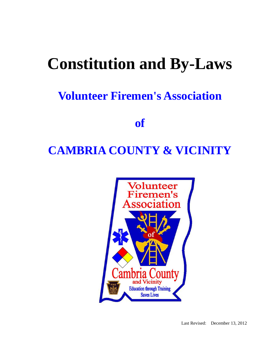# **Constitution and By-Laws**

# **Volunteer Firemen's Association**

**of**

# **CAMBRIA COUNTY & VICINITY**



Last Revised: December 13, 2012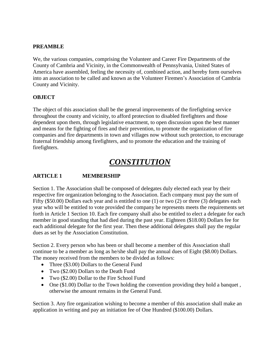#### **PREAMBLE**

We, the various companies, comprising the Volunteer and Career Fire Departments of the County of Cambria and Vicinity, in the Commonwealth of Pennsylvania, United States of America have assembled, feeling the necessity of, combined action, and hereby form ourselves into an association to be called and known as the Volunteer Firemen's Association of Cambria County and Vicinity.

#### **OBJECT**

The object of this association shall be the general improvements of the firefighting service throughout the county and vicinity, to afford protection to disabled firefighters and those dependent upon them, through legislative enactment, to open discussion upon the best manner and means for the fighting of fires and their prevention, to promote the organization of fire companies and fire departments in town and villages now without such protection, to encourage fraternal friendship among firefighters, and to promote the education and the training of firefighters.

### *CONSTITUTION*

#### **ARTICLE 1 MEMBERSHIP**

Section 1. The Association shall be composed of delegates duly elected each year by their respective fire organization belonging to the Association. Each company must pay the sum of Fifty (\$50.00) Dollars each year and is entitled to one (1) or two (2) or three (3) delegates each year who will be entitled to vote provided the company he represents meets the requirements set forth in Article 1 Section 10. Each fire company shall also be entitled to elect a delegate for each member in good standing that had died during the past year. Eighteen (\$18.00) Dollars fee for each additional delegate for the first year. Then these additional delegates shall pay the regular dues as set by the Association Constitution.

Section 2. Every person who has been or shall become a member of this Association shall continue to be a member as long as he/she shall pay the annual dues of Eight (\$8.00) Dollars. The money received from the members to be divided as follows:

- Three (\$3.00) Dollars to the General Fund
- Two (\$2.00) Dollars to the Death Fund
- Two (\$2.00) Dollar to the Fire School Fund
- One (\$1.00) Dollar to the Town holding the convention providing they hold a banquet, otherwise the amount remains in the General Fund.

Section 3. Any fire organization wishing to become a member of this association shall make an application in writing and pay an initiation fee of One Hundred (\$100.00) Dollars.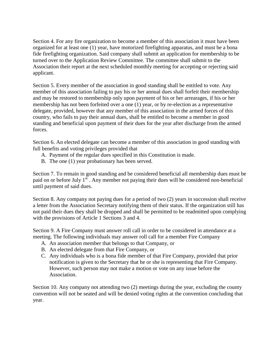Section 4. For any fire organization to become a member of this association it must have been organized for at least one (1) year, have motorized firefighting apparatus, and must be a bona fide firefighting organization. Said company shall submit an application for membership to be turned over to the Application Review Committee. The committee shall submit to the Association their report at the next scheduled monthly meeting for accepting or rejecting said applicant.

Section 5. Every member of the association in good standing shall be entitled to vote. Any member of this association failing to pay his or her annual dues shall forfeit their membership and may be restored to membership only upon payment of his or her arrearages, if his or her membership has not been forfeited over a one (1) year, or by re-election as a representative delegate, provided, however that any member of this association in the armed forces of this country, who fails to pay their annual dues, shall be entitled to become a member in good standing and beneficial upon payment of their dues for the year after discharge from the armed forces.

Section 6. An elected delegate can become a member of this association in good standing with full benefits and voting privileges provided that

- A. Payment of the regular dues specified in this Constitution is made.
- B. The one (1) year probationary has been served.

Section 7. To remain in good standing and be considered beneficial all membership dues must be paid on or before July  $1<sup>st</sup>$ . Any member not paying their dues will be considered non-beneficial until payment of said dues.

Section 8. Any company not paying dues for a period of two (2) years in succession shall receive a letter from the Association Secretary notifying them of their status. If the organization still has not paid their dues they shall be dropped and shall be permitted to be readmitted upon complying with the provisions of Article 1 Sections 3 and 4.

Section 9. A Fire Company must answer roll call in order to be considered in attendance at a meeting. The following individuals may answer roll call for a member Fire Company

- A. An association member that belongs to that Company, or
- B. An elected delegate from that Fire Company, or
- C. Any individuals who is a bona fide member of that Fire Company, provided that prior notification is given to the Secretary that he or she is representing that Fire Company. However, such person may not make a motion or vote on any issue before the Association.

Section 10. Any company not attending two (2) meetings during the year, excluding the county convention will not be seated and will be denied voting rights at the convention concluding that year.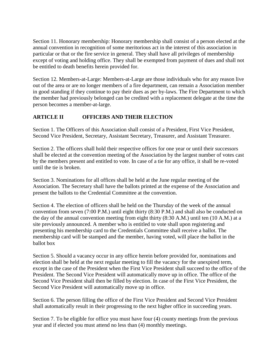Section 11. Honorary membership: Honorary membership shall consist of a person elected at the annual convention in recognition of some meritorious act in the interest of this association in particular or that or the fire service in general. They shall have all privileges of membership except of voting and holding office. They shall be exempted from payment of dues and shall not be entitled to death benefits herein provided for.

Section 12. Members-at-Large: Members-at-Large are those individuals who for any reason live out of the area or are no longer members of a fire department, can remain a Association member in good standing if they continue to pay their dues as per by-laws. The Fire Department to which the member had previously belonged can be credited with a replacement delegate at the time the person becomes a member-at-large.

#### **ARTICLE II OFFICERS AND THEIR ELECTION**

Section 1. The Officers of this Association shall consist of a President, First Vice President, Second Vice President, Secretary, Assistant Secretary, Treasurer, and Assistant Treasurer.

Section 2. The officers shall hold their respective offices for one year or until their successors shall be elected at the convention meeting of the Association by the largest number of votes cast by the members present and entitled to vote. In case of a tie for any office, it shall be re-voted until the tie is broken.

Section 3. Nominations for all offices shall be held at the June regular meeting of the Association. The Secretary shall have the ballots printed at the expense of the Association and present the ballots to the Credential Committee at the convention.

Section 4. The election of officers shall be held on the Thursday of the week of the annual convention from seven (7:00 P.M.) until eight thirty (8:30 P.M.) and shall also be conducted on the day of the annual convention meeting from eight thirty (8:30 A.M.) until ten (10 A.M.) at a site previously announced. A member who is entitled to vote shall upon registering and presenting his membership card to the Credentials Committee shall receive a ballot. The membership card will be stamped and the member, having voted, will place the ballot in the ballot box

Section 5. Should a vacancy occur in any office herein before provided for, nominations and election shall be held at the next regular meeting to fill the vacancy for the unexpired term, except in the case of the President when the First Vice President shall succeed to the office of the President. The Second Vice President will automatically move up in office. The office of the Second Vice President shall then be filled by election. In case of the First Vice President, the Second Vice President will automatically move up in office.

Section 6. The person filling the office of the First Vice President and Second Vice President shall automatically result in their progressing to the next higher office in succeeding years.

Section 7. To be eligible for office you must have four (4) county meetings from the previous year and if elected you must attend no less than (4) monthly meetings.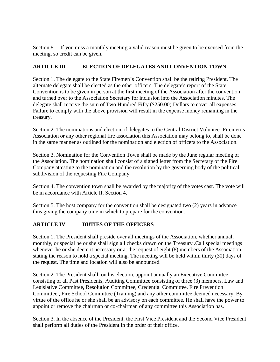Section 8. If you miss a monthly meeting a valid reason must be given to be excused from the meeting, so credit can be given.

#### **ARTICLE III ELECTION OF DELEGATES AND CONVENTION TOWN**

Section 1. The delegate to the State Firemen's Convention shall be the retiring President. The alternate delegate shall be elected as the other officers. The delegate's report of the State Convention is to be given in person at the first meeting of the Association after the convention and turned over to the Association Secretary for inclusion into the Association minutes. The delegate shall receive the sum of Two Hundred Fifty (\$250.00) Dollars to cover all expenses. Failure to comply with the above provision will result in the expense money remaining in the treasury.

Section 2. The nominations and election of delegates to the Central District Volunteer Firemen's Association or any other regional fire association this Association may belong to, shall be done in the same manner as outlined for the nomination and election of officers to the Association.

Section 3. Nomination for the Convention Town shall be made by the June regular meeting of the Association. The nomination shall consist of a signed letter from the Secretary of the Fire Company attesting to the nomination and the resolution by the governing body of the political subdivision of the requesting Fire Company.

Section 4. The convention town shall be awarded by the majority of the votes cast. The vote will be in accordance with Article II, Section 4.

Section 5. The host company for the convention shall be designated two (2) years in advance thus giving the company time in which to prepare for the convention.

#### **ARTICLE IV DUTIES OF THE OFFICERS**

Section 1. The President shall preside over all meetings of the Association, whether annual, monthly, or special he or she shall sign all checks drawn on the Treasury .Call special meetings whenever he or she deem it necessary or at the request of eight (8) members of the Association stating the reason to hold a special meeting. The meeting will be held within thirty (30) days of the request. The time and location will also be announced.

Section 2. The President shall, on his election, appoint annually an Executive Committee consisting of all Past Presidents, Auditing Committee consisting of three (3) members, Law and Legislative Committee, Resolution Committee, Credential Committee, Fire Prevention Committee , Fire School Committee (Training),and any other committee deemed necessary. By virtue of the office he or she shall be an advisory on each committee. He shall have the power to appoint or remove the chairman or co-chairman of any committee this Association has.

Section 3. In the absence of the President, the First Vice President and the Second Vice President shall perform all duties of the President in the order of their office.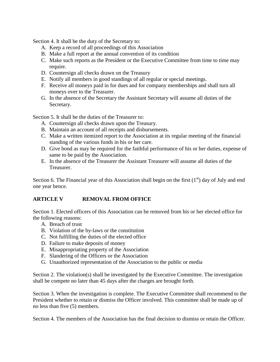Section 4. It shall be the duty of the Secretary to:

- A. Keep a record of all proceedings of this Association
- B. Make a full report at the annual convention of its condition
- C. Make such reports as the President or the Executive Committee from time to time may require.
- D. Countersign all checks drawn on the Treasury
- E. Notify all members in good standings of all regular or special meetings.
- F. Receive all moneys paid in for dues and for company memberships and shall turn all moneys over to the Treasurer.
- G. In the absence of the Secretary the Assistant Secretary will assume all duties of the Secretary.

Section 5. It shall be the duties of the Treasurer to:

- A. Countersign all checks drawn upon the Treasury.
- B. Maintain an account of all receipts and disbursements.
- C. Make a written itemized report to the Association at its regular meeting of the financial standing of the various funds in his or her care.
- D. Give bond as may be required for the faithful performance of his or her duties, expense of same to be paid by the Association.
- E. In the absence of the Treasurer the Assistant Treasurer will assume all duties of the Treasurer.

Section 6. The Financial year of this Association shall begin on the first  $(1<sup>st</sup>)$  day of July and end one year hence.

#### **ARTICLE V REMOVAL FROM OFFICE**

Section 1. Elected officers of this Association can be removed from his or her elected office for the following reasons:

- A. Breach of trust
- B. Violation of the by-laws or the constitution
- C. Not fulfilling the duties of the elected office
- D. Failure to make deposits of money
- E. Misappropriating property of the Association
- F. Slandering of the Officers or the Association
- G. Unauthorized representation of the Association to the public or media

Section 2. The violation(s) shall be investigated by the Executive Committee. The investigation shall be compete no later than 45 days after the charges are brought forth.

Section 3. When the investigation is complete. The Executive Committee shall recommend to the President whether to retain or dismiss the Officer involved. This committee shall be made up of no less than five (5) members.

Section 4. The members of the Association has the final decision to dismiss or retain the Officer.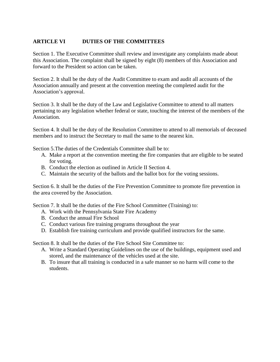#### **ARTICLE VI DUTIES OF THE COMMITTEES**

Section 1. The Executive Committee shall review and investigate any complaints made about this Association. The complaint shall be signed by eight (8) members of this Association and forward to the President so action can be taken.

Section 2. It shall be the duty of the Audit Committee to exam and audit all accounts of the Association annually and present at the convention meeting the completed audit for the Association's approval.

Section 3. It shall be the duty of the Law and Legislative Committee to attend to all matters pertaining to any legislation whether federal or state, touching the interest of the members of the Association.

Section 4. It shall be the duty of the Resolution Committee to attend to all memorials of deceased members and to instruct the Secretary to mail the same to the nearest kin.

Section 5.The duties of the Credentials Committee shall be to:

- A. Make a report at the convention meeting the fire companies that are eligible to be seated for voting.
- B. Conduct the election as outlined in Article II Section 4.
- C. Maintain the security of the ballots and the ballot box for the voting sessions.

Section 6. It shall be the duties of the Fire Prevention Committee to promote fire prevention in the area covered by the Association.

Section 7. It shall be the duties of the Fire School Committee (Training) to:

- A. Work with the Pennsylvania State Fire Academy
- B. Conduct the annual Fire School
- C. Conduct various fire training programs throughout the year
- D. Establish fire training curriculum and provide qualified instructors for the same.

Section 8. It shall be the duties of the Fire School Site Committee to:

- A. Write a Standard Operating Guidelines on the use of the buildings, equipment used and stored, and the maintenance of the vehicles used at the site.
- B. To insure that all training is conducted in a safe manner so no harm will come to the students.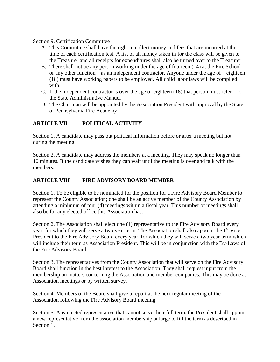Section 9. Certification Committee

- A. This Committee shall have the right to collect money and fees that are incurred at the time of each certification test. A list of all money taken in for the class will be given to the Treasurer and all receipts for expenditures shall also be turned over to the Treasurer.
- B. There shall not be any person working under the age of fourteen (14) at the Fire School or any other function as an independent contractor. Anyone under the age of eighteen (18) must have working papers to be employed. All child labor laws will be complied with.
- C. If the independent contractor is over the age of eighteen (18) that person must refer to the State Administrative Manuel
- D. The Chairman will be appointed by the Association President with approval by the State of Pennsylvania Fire Academy.

#### **ARTICLE VII POLITICAL ACTIVITY**

Section 1. A candidate may pass out political information before or after a meeting but not during the meeting.

Section 2. A candidate may address the members at a meeting. They may speak no longer than 10 minutes. If the candidate wishes they can wait until the meeting is over and talk with the members.

#### **ARTICLE VIII FIRE ADVISORY BOARD MEMBER**

Section 1. To be eligible to be nominated for the position for a Fire Advisory Board Member to represent the County Association; one shall be an active member of the County Association by attending a minimum of four (4) meetings within a fiscal year. This number of meetings shall also be for any elected office this Association has.

Section 2. The Association shall elect one (1) representative to the Fire Advisory Board every year, for which they will serve a two year term. The Association shall also appoint the  $1<sup>st</sup>$  Vice President to the Fire Advisory Board every year, for which they will serve a two year term which will include their term as Association President. This will be in conjunction with the By-Laws of the Fire Advisory Board.

Section 3. The representatives from the County Association that will serve on the Fire Advisory Board shall function in the best interest to the Association. They shall request input from the membership on matters concerning the Association and member companies. This may be done at Association meetings or by written survey.

Section 4. Members of the Board shall give a report at the next regular meeting of the Association following the Fire Advisory Board meeting.

Section 5. Any elected representative that cannot serve their full term, the President shall appoint a new representative from the association membership at large to fill the term as described in Section 1.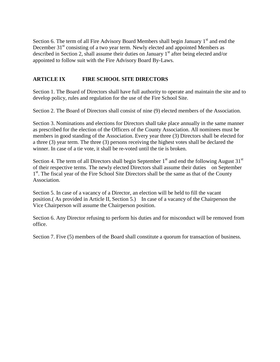Section 6. The term of all Fire Advisory Board Members shall begin January  $1<sup>st</sup>$  and end the December 31<sup>st</sup> consisting of a two year term. Newly elected and appointed Members as described in Section 2, shall assume their duties on January  $1<sup>st</sup>$  after being elected and/or appointed to follow suit with the Fire Advisory Board By-Laws.

#### **ARTICLE IX FIRE SCHOOL SITE DIRECTORS**

Section 1. The Board of Directors shall have full authority to operate and maintain the site and to develop policy, rules and regulation for the use of the Fire School Site.

Section 2. The Board of Directors shall consist of nine (9) elected members of the Association.

Section 3. Nominations and elections for Directors shall take place annually in the same manner as prescribed for the election of the Officers of the County Association. All nominees must be members in good standing of the Association. Every year three (3) Directors shall be elected for a three (3) year term. The three (3) persons receiving the highest votes shall be declared the winner. In case of a tie vote, it shall be re-voted until the tie is broken.

Section 4. The term of all Directors shall begin September  $1<sup>st</sup>$  and end the following August 31<sup>st</sup> of their respective terms. The newly elected Directors shall assume their duties on September 1<sup>st</sup>. The fiscal year of the Fire School Site Directors shall be the same as that of the County Association.

Section 5. In case of a vacancy of a Director, an election will be held to fill the vacant position.( As provided in Article II, Section 5.) In case of a vacancy of the Chairperson the Vice Chairperson will assume the Chairperson position.

Section 6. Any Director refusing to perform his duties and for misconduct will be removed from office.

Section 7. Five (5) members of the Board shall constitute a quorum for transaction of business.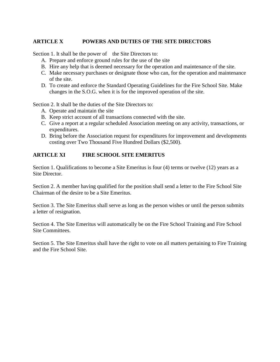#### **ARTICLE X POWERS AND DUTIES OF THE SITE DIRECTORS**

Section 1. It shall be the power of the Site Directors to:

- A. Prepare and enforce ground rules for the use of the site
- B. Hire any help that is deemed necessary for the operation and maintenance of the site.
- C. Make necessary purchases or designate those who can, for the operation and maintenance of the site.
- D. To create and enforce the Standard Operating Guidelines for the Fire School Site. Make changes in the S.O.G. when it is for the improved operation of the site.

Section 2. It shall be the duties of the Site Directors to:

- A. Operate and maintain the site
- B. Keep strict account of all transactions connected with the site.
- C. Give a report at a regular scheduled Association meeting on any activity, transactions, or expenditures.
- D. Bring before the Association request for expenditures for improvement and developments costing over Two Thousand Five Hundred Dollars (\$2,500).

#### **ARTICLE XI FIRE SCHOOL SITE EMERITUS**

Section 1. Qualifications to become a Site Emeritus is four (4) terms or twelve (12) years as a Site Director.

Section 2. A member having qualified for the position shall send a letter to the Fire School Site Chairman of the desire to be a Site Emeritus.

Section 3. The Site Emeritus shall serve as long as the person wishes or until the person submits a letter of resignation.

Section 4. The Site Emeritus will automatically be on the Fire School Training and Fire School Site Committees.

Section 5. The Site Emeritus shall have the right to vote on all matters pertaining to Fire Training and the Fire School Site.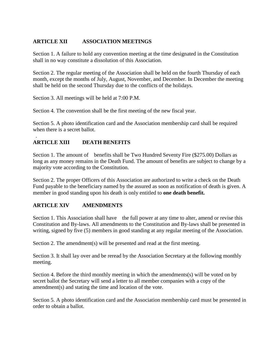#### **ARTICLE XII ASSOCIATION MEETINGS**

Section 1. A failure to hold any convention meeting at the time designated in the Constitution shall in no way constitute a dissolution of this Association.

Section 2. The regular meeting of the Association shall be held on the fourth Thursday of each month, except the months of July, August, November, and December. In December the meeting shall be held on the second Thursday due to the conflicts of the holidays.

Section 3. All meetings will be held at 7:00 P.M.

Section 4. The convention shall be the first meeting of the new fiscal year.

Section 5. A photo identification card and the Association membership card shall be required when there is a secret ballot.

#### **ARTICLE XIII DEATH BENEFITS**

.

Section 1. The amount of benefits shall be Two Hundred Seventy Fire (\$275.00) Dollars as long as any money remains in the Death Fund. The amount of benefits are subject to change by a majority vote according to the Constitution.

Section 2. The proper Officers of this Association are authorized to write a check on the Death Fund payable to the beneficiary named by the assured as soon as notification of death is given. A member in good standing upon his death is only entitled to **one death benefit.**

#### **ARTICLE XIV AMENDMENTS**

Section 1. This Association shall have the full power at any time to alter, amend or revise this Constitution and By-laws. All amendments to the Constitution and By-laws shall be presented in writing, signed by five (5) members in good standing at any regular meeting of the Association.

Section 2. The amendment(s) will be presented and read at the first meeting.

Section 3. It shall lay over and be reread by the Association Secretary at the following monthly meeting.

Section 4. Before the third monthly meeting in which the amendments(s) will be voted on by secret ballot the Secretary will send a letter to all member companies with a copy of the amendment(s) and stating the time and location of the vote.

Section 5. A photo identification card and the Association membership card must be presented in order to obtain a ballot.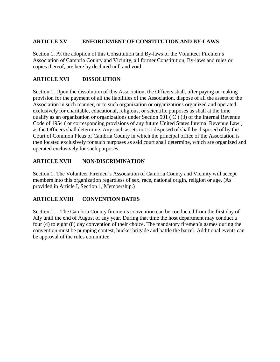#### **ARTICLE XV ENFORCEMENT OF CONSTITUTION AND BY-LAWS**

Section 1. At the adoption of this Constitution and By-laws of the Volunteer Firemen's Association of Cambria County and Vicinity, all former Constitution, By-laws and rules or copies thereof, are here by declared null and void.

#### **ARTICLE XVI DISSOLUTION**

Section 1. Upon the dissolution of this Association, the Officers shall, after paying or making provision for the payment of all the liabilities of the Association, dispose of all the assets of the Association in such manner, or to such organization or organizations organized and operated exclusively for charitable, educational, religious, or scientific purposes as shall at the time qualify as an organization or organizations under Section 501 ( C ) (3) of the Internal Revenue Code of 1954 ( or corresponding provisions of any future United States Internal Revenue Law ) as the Officers shall determine. Any such assets not so disposed of shall be disposed of by the Court of Common Pleas of Cambria County in which the principal office of the Association is then located exclusively for such purposes as said court shall determine, which are organized and operated exclusively for such purposes.

#### **ARTICLE XVII NON-DISCRIMINATION**

Section 1. The Volunteer Firemen's Association of Cambria County and Vicinity will accept members into this organization regardless of sex, race, national origin, religion or age. (As provided in Article I, Section 1, Membership.)

#### **ARTICLE XVIII CONVENTION DATES**

Section 1. The Cambria County firemen's convention can be conducted from the first day of July until the end of August of any year. During that time the host department may conduct a four (4) to eight (8) day convention of their choice. The mandatory firemen's games during the convention must be pumping contest, bucket brigade and battle the barrel. Additional events can be approval of the rules committee.